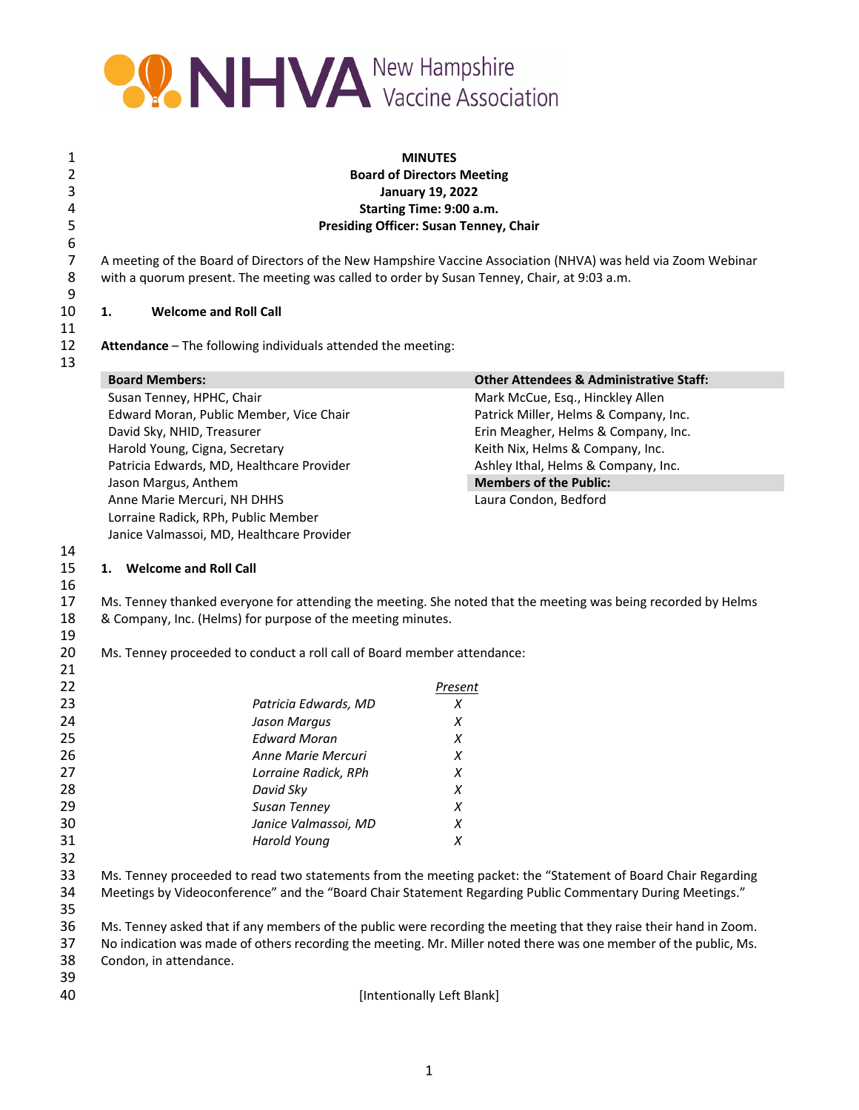

| <b>MINUTES</b><br><b>Board of Directors Meeting</b><br><b>January 19, 2022</b><br>Starting Time: 9:00 a.m.<br><b>Presiding Officer: Susan Tenney, Chair</b> |                                                                         |                                                                                                                                                                                                                                                                                                                                                       |  |
|-------------------------------------------------------------------------------------------------------------------------------------------------------------|-------------------------------------------------------------------------|-------------------------------------------------------------------------------------------------------------------------------------------------------------------------------------------------------------------------------------------------------------------------------------------------------------------------------------------------------|--|
|                                                                                                                                                             |                                                                         | A meeting of the Board of Directors of the New Hampshire Vaccine Association (NHVA) was held via Zoom Webinar<br>with a quorum present. The meeting was called to order by Susan Tenney, Chair, at 9:03 a.m.                                                                                                                                          |  |
| <b>Welcome and Roll Call</b><br>1.                                                                                                                          |                                                                         |                                                                                                                                                                                                                                                                                                                                                       |  |
|                                                                                                                                                             | Attendance - The following individuals attended the meeting:            |                                                                                                                                                                                                                                                                                                                                                       |  |
| <b>Board Members:</b>                                                                                                                                       |                                                                         | <b>Other Attendees &amp; Administrative Staff:</b>                                                                                                                                                                                                                                                                                                    |  |
| Susan Tenney, HPHC, Chair                                                                                                                                   |                                                                         | Mark McCue, Esq., Hinckley Allen                                                                                                                                                                                                                                                                                                                      |  |
|                                                                                                                                                             | Edward Moran, Public Member, Vice Chair                                 | Patrick Miller, Helms & Company, Inc.                                                                                                                                                                                                                                                                                                                 |  |
| David Sky, NHID, Treasurer                                                                                                                                  |                                                                         | Erin Meagher, Helms & Company, Inc.                                                                                                                                                                                                                                                                                                                   |  |
| Harold Young, Cigna, Secretary                                                                                                                              |                                                                         | Keith Nix, Helms & Company, Inc.                                                                                                                                                                                                                                                                                                                      |  |
|                                                                                                                                                             | Patricia Edwards, MD, Healthcare Provider                               | Ashley Ithal, Helms & Company, Inc.                                                                                                                                                                                                                                                                                                                   |  |
| Jason Margus, Anthem                                                                                                                                        |                                                                         | <b>Members of the Public:</b>                                                                                                                                                                                                                                                                                                                         |  |
| Anne Marie Mercuri, NH DHHS                                                                                                                                 |                                                                         | Laura Condon, Bedford                                                                                                                                                                                                                                                                                                                                 |  |
| Lorraine Radick, RPh, Public Member                                                                                                                         |                                                                         |                                                                                                                                                                                                                                                                                                                                                       |  |
|                                                                                                                                                             | Janice Valmassoi, MD, Healthcare Provider                               |                                                                                                                                                                                                                                                                                                                                                       |  |
|                                                                                                                                                             | & Company, Inc. (Helms) for purpose of the meeting minutes.             |                                                                                                                                                                                                                                                                                                                                                       |  |
|                                                                                                                                                             | Ms. Tenney proceeded to conduct a roll call of Board member attendance: |                                                                                                                                                                                                                                                                                                                                                       |  |
|                                                                                                                                                             |                                                                         | Present                                                                                                                                                                                                                                                                                                                                               |  |
|                                                                                                                                                             | Patricia Edwards, MD                                                    | X                                                                                                                                                                                                                                                                                                                                                     |  |
|                                                                                                                                                             | Jason Margus                                                            | Χ                                                                                                                                                                                                                                                                                                                                                     |  |
|                                                                                                                                                             |                                                                         |                                                                                                                                                                                                                                                                                                                                                       |  |
|                                                                                                                                                             | <b>Edward Moran</b>                                                     | X                                                                                                                                                                                                                                                                                                                                                     |  |
|                                                                                                                                                             | Anne Marie Mercuri                                                      | Χ                                                                                                                                                                                                                                                                                                                                                     |  |
|                                                                                                                                                             | Lorraine Radick, RPh                                                    | X                                                                                                                                                                                                                                                                                                                                                     |  |
|                                                                                                                                                             | David Sky                                                               | Χ                                                                                                                                                                                                                                                                                                                                                     |  |
|                                                                                                                                                             | Susan Tenney                                                            | Χ                                                                                                                                                                                                                                                                                                                                                     |  |
|                                                                                                                                                             | Janice Valmassoi, MD                                                    | Χ                                                                                                                                                                                                                                                                                                                                                     |  |
|                                                                                                                                                             | <b>Harold Young</b>                                                     | X                                                                                                                                                                                                                                                                                                                                                     |  |
|                                                                                                                                                             |                                                                         |                                                                                                                                                                                                                                                                                                                                                       |  |
|                                                                                                                                                             |                                                                         | Meetings by Videoconference" and the "Board Chair Statement Regarding Public Commentary During Meetings."                                                                                                                                                                                                                                             |  |
| Condon, in attendance.                                                                                                                                      |                                                                         | Ms. Tenney proceeded to read two statements from the meeting packet: the "Statement of Board Chair Regarding<br>Ms. Tenney asked that if any members of the public were recording the meeting that they raise their hand in Zoom.<br>No indication was made of others recording the meeting. Mr. Miller noted there was one member of the public, Ms. |  |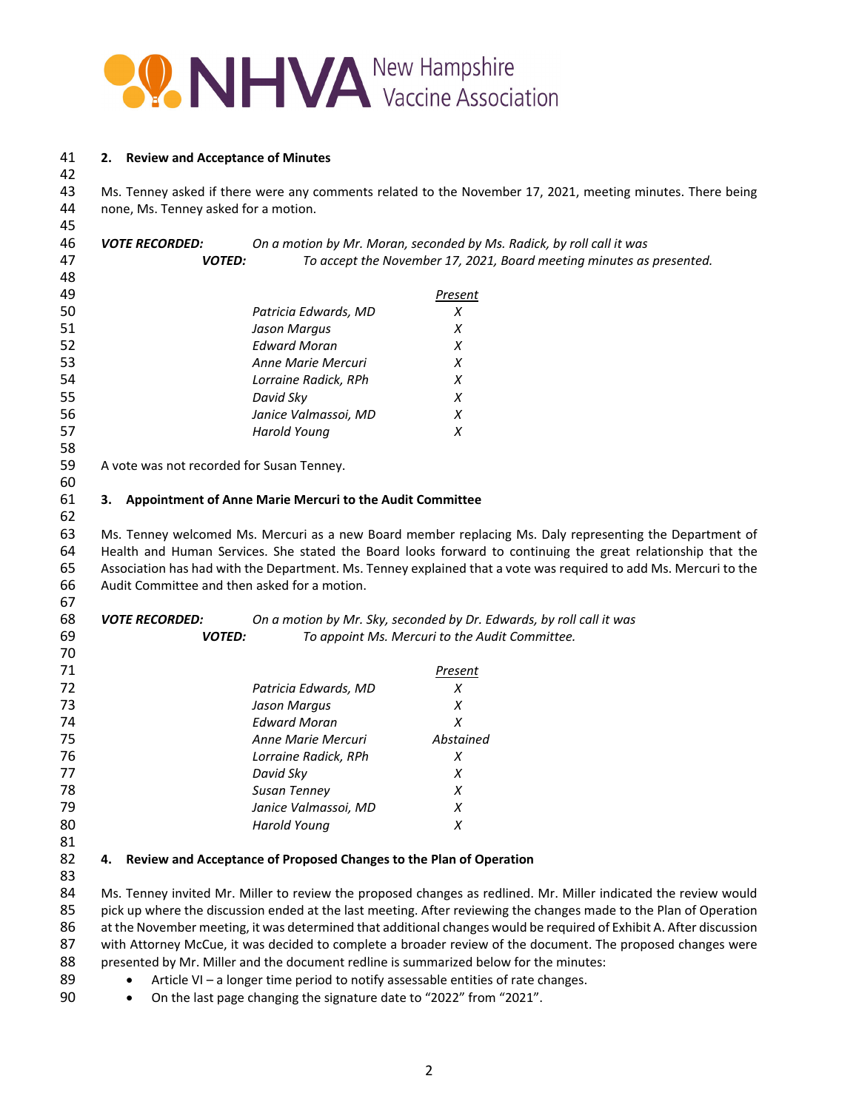

### **2. Review and Acceptance of Minutes**

 Ms. Tenney asked if there were any comments related to the November 17, 2021, meeting minutes. There being none, Ms. Tenney asked for a motion.

| 45 |                                           |                                                                       |                                                                                                                  |
|----|-------------------------------------------|-----------------------------------------------------------------------|------------------------------------------------------------------------------------------------------------------|
| 46 | <i><b>VOTE RECORDED:</b></i>              |                                                                       | On a motion by Mr. Moran, seconded by Ms. Radick, by roll call it was                                            |
| 47 | <b>VOTED:</b>                             |                                                                       | To accept the November 17, 2021, Board meeting minutes as presented.                                             |
| 48 |                                           |                                                                       |                                                                                                                  |
| 49 |                                           |                                                                       | Present                                                                                                          |
| 50 |                                           | Patricia Edwards, MD                                                  | X                                                                                                                |
| 51 |                                           | Jason Margus                                                          | X                                                                                                                |
| 52 |                                           | <b>Edward Moran</b>                                                   | X                                                                                                                |
| 53 |                                           | Anne Marie Mercuri                                                    | Х                                                                                                                |
| 54 |                                           | Lorraine Radick, RPh                                                  | X                                                                                                                |
| 55 |                                           | David Sky                                                             | X                                                                                                                |
| 56 |                                           | Janice Valmassoi, MD                                                  | X                                                                                                                |
| 57 |                                           | <b>Harold Young</b>                                                   | X                                                                                                                |
| 58 |                                           |                                                                       |                                                                                                                  |
| 59 | A vote was not recorded for Susan Tenney. |                                                                       |                                                                                                                  |
| 60 |                                           |                                                                       |                                                                                                                  |
| 61 |                                           | 3. Appointment of Anne Marie Mercuri to the Audit Committee           |                                                                                                                  |
| 62 |                                           |                                                                       |                                                                                                                  |
| 63 |                                           |                                                                       | Ms. Tenney welcomed Ms. Mercuri as a new Board member replacing Ms. Daly representing the Department of          |
| 64 |                                           |                                                                       | Health and Human Services. She stated the Board looks forward to continuing the great relationship that the      |
| 65 |                                           |                                                                       | Association has had with the Department. Ms. Tenney explained that a vote was required to add Ms. Mercuri to the |
| 66 |                                           | Audit Committee and then asked for a motion.                          |                                                                                                                  |
| 67 |                                           |                                                                       |                                                                                                                  |
| 68 | <b>VOTE RECORDED:</b>                     |                                                                       | On a motion by Mr. Sky, seconded by Dr. Edwards, by roll call it was                                             |
| 69 | <b>VOTED:</b>                             |                                                                       | To appoint Ms. Mercuri to the Audit Committee.                                                                   |
| 70 |                                           |                                                                       |                                                                                                                  |
| 71 |                                           |                                                                       | Present                                                                                                          |
| 72 |                                           | Patricia Edwards, MD                                                  | X                                                                                                                |
| 73 |                                           | Jason Margus                                                          | $\chi$                                                                                                           |
| 74 |                                           | <b>Edward Moran</b>                                                   | X                                                                                                                |
| 75 |                                           | Anne Marie Mercuri                                                    | Abstained                                                                                                        |
| 76 |                                           | Lorraine Radick, RPh                                                  | X                                                                                                                |
| 77 |                                           | David Sky                                                             | X                                                                                                                |
| 78 |                                           | Susan Tenney                                                          | X                                                                                                                |
| 79 |                                           | Janice Valmassoi, MD                                                  | X                                                                                                                |
| 80 |                                           | <b>Harold Young</b>                                                   | X                                                                                                                |
| 81 |                                           |                                                                       |                                                                                                                  |
| 82 |                                           | 4. Review and Acceptance of Proposed Changes to the Plan of Operation |                                                                                                                  |
| 83 |                                           |                                                                       |                                                                                                                  |
| 84 |                                           |                                                                       | Ms. Tenney invited Mr. Miller to review the proposed changes as redlined. Mr. Miller indicated the review would  |

 Ms. Tenney invited Mr. Miller to review the proposed changes as redlined. Mr. Miller indicated the review would pick up where the discussion ended at the last meeting. After reviewing the changes made to the Plan of Operation 86 at the November meeting, it was determined that additional changes would be required of Exhibit A. After discussion with Attorney McCue, it was decided to complete a broader review of the document. The proposed changes were presented by Mr. Miller and the document redline is summarized below for the minutes:

- 89 Article VI a longer time period to notify assessable entities of rate changes.
- 90 On the last page changing the signature date to "2022" from "2021".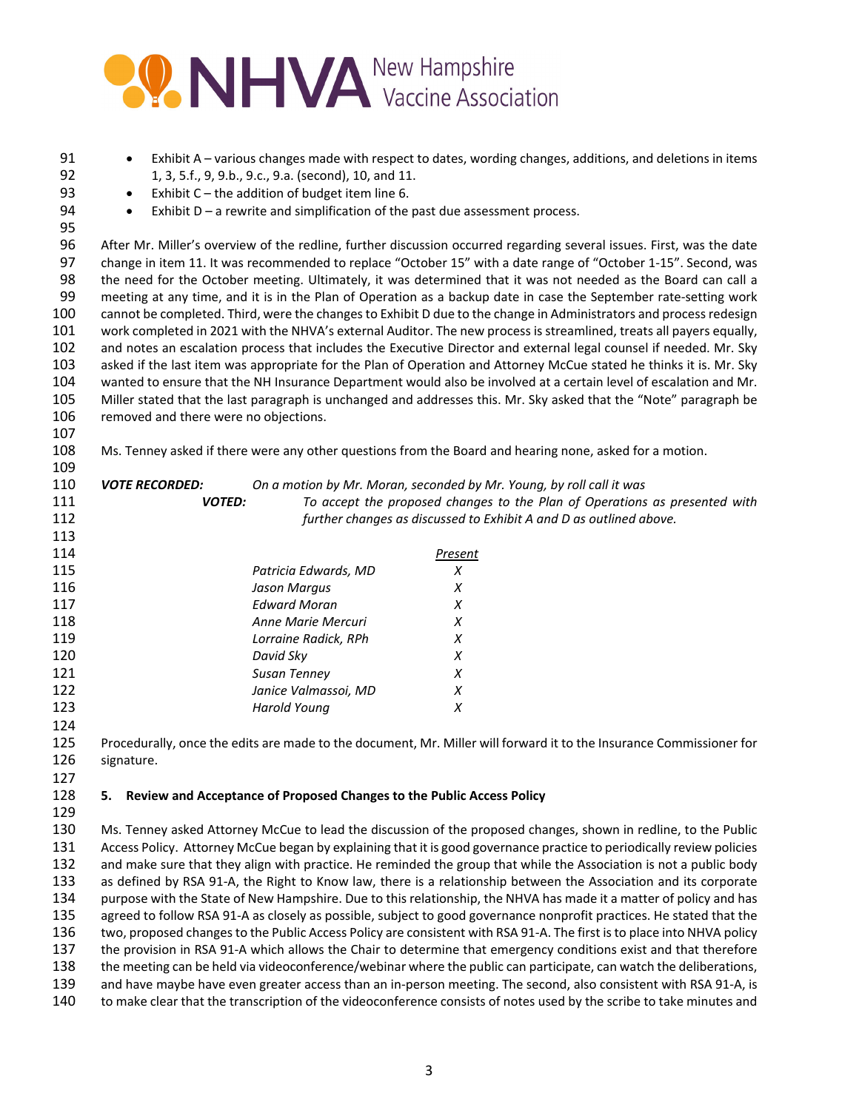# **OO NHVA** New Hampshire

| 91         | $\bullet$                                                                                                                                                                                                                                |                                                                       | Exhibit A - various changes made with respect to dates, wording changes, additions, and deletions in items             |  |
|------------|------------------------------------------------------------------------------------------------------------------------------------------------------------------------------------------------------------------------------------------|-----------------------------------------------------------------------|------------------------------------------------------------------------------------------------------------------------|--|
| 92         | 1, 3, 5.f., 9, 9.b., 9.c., 9.a. (second), 10, and 11.                                                                                                                                                                                    |                                                                       |                                                                                                                        |  |
| 93         | Exhibit $C$ – the addition of budget item line 6.                                                                                                                                                                                        |                                                                       |                                                                                                                        |  |
| 94         | Exhibit $D - a$ rewrite and simplification of the past due assessment process.<br>$\bullet$                                                                                                                                              |                                                                       |                                                                                                                        |  |
| 95         |                                                                                                                                                                                                                                          |                                                                       |                                                                                                                        |  |
| 96         |                                                                                                                                                                                                                                          |                                                                       | After Mr. Miller's overview of the redline, further discussion occurred regarding several issues. First, was the date  |  |
| 97         | change in item 11. It was recommended to replace "October 15" with a date range of "October 1-15". Second, was                                                                                                                           |                                                                       |                                                                                                                        |  |
| 98         | the need for the October meeting. Ultimately, it was determined that it was not needed as the Board can call a                                                                                                                           |                                                                       |                                                                                                                        |  |
| 99         | meeting at any time, and it is in the Plan of Operation as a backup date in case the September rate-setting work                                                                                                                         |                                                                       |                                                                                                                        |  |
| 100        | cannot be completed. Third, were the changes to Exhibit D due to the change in Administrators and process redesign                                                                                                                       |                                                                       |                                                                                                                        |  |
| 101        |                                                                                                                                                                                                                                          |                                                                       | work completed in 2021 with the NHVA's external Auditor. The new process is streamlined, treats all payers equally,    |  |
| 102        |                                                                                                                                                                                                                                          |                                                                       | and notes an escalation process that includes the Executive Director and external legal counsel if needed. Mr. Sky     |  |
| 103        |                                                                                                                                                                                                                                          |                                                                       | asked if the last item was appropriate for the Plan of Operation and Attorney McCue stated he thinks it is. Mr. Sky    |  |
| 104        |                                                                                                                                                                                                                                          |                                                                       | wanted to ensure that the NH Insurance Department would also be involved at a certain level of escalation and Mr.      |  |
| 105        |                                                                                                                                                                                                                                          |                                                                       | Miller stated that the last paragraph is unchanged and addresses this. Mr. Sky asked that the "Note" paragraph be      |  |
| 106        | removed and there were no objections.                                                                                                                                                                                                    |                                                                       |                                                                                                                        |  |
| 107        |                                                                                                                                                                                                                                          |                                                                       |                                                                                                                        |  |
| 108        |                                                                                                                                                                                                                                          |                                                                       | Ms. Tenney asked if there were any other questions from the Board and hearing none, asked for a motion.                |  |
| 109        |                                                                                                                                                                                                                                          |                                                                       |                                                                                                                        |  |
| 110        | <b>VOTE RECORDED:</b>                                                                                                                                                                                                                    |                                                                       | On a motion by Mr. Moran, seconded by Mr. Young, by roll call it was                                                   |  |
| 111        | <b>VOTED:</b>                                                                                                                                                                                                                            |                                                                       | To accept the proposed changes to the Plan of Operations as presented with                                             |  |
| 112        |                                                                                                                                                                                                                                          |                                                                       | further changes as discussed to Exhibit A and D as outlined above.                                                     |  |
| 113        |                                                                                                                                                                                                                                          |                                                                       |                                                                                                                        |  |
| 114        |                                                                                                                                                                                                                                          |                                                                       | <b>Present</b>                                                                                                         |  |
| 115        |                                                                                                                                                                                                                                          | Patricia Edwards, MD                                                  | X                                                                                                                      |  |
| 116        |                                                                                                                                                                                                                                          | Jason Margus                                                          | X                                                                                                                      |  |
| 117        |                                                                                                                                                                                                                                          | <b>Edward Moran</b>                                                   | X                                                                                                                      |  |
| 118        |                                                                                                                                                                                                                                          | Anne Marie Mercuri                                                    | X                                                                                                                      |  |
| 119        |                                                                                                                                                                                                                                          | Lorraine Radick, RPh                                                  | X<br>X                                                                                                                 |  |
| 120<br>121 |                                                                                                                                                                                                                                          | David Sky                                                             |                                                                                                                        |  |
| 122        |                                                                                                                                                                                                                                          | Susan Tenney<br>Janice Valmassoi, MD                                  | X<br>X                                                                                                                 |  |
| 123        |                                                                                                                                                                                                                                          | <b>Harold Young</b>                                                   | $\chi$                                                                                                                 |  |
| 124        |                                                                                                                                                                                                                                          |                                                                       |                                                                                                                        |  |
| 125        |                                                                                                                                                                                                                                          |                                                                       | Procedurally, once the edits are made to the document, Mr. Miller will forward it to the Insurance Commissioner for    |  |
| 126        | signature.                                                                                                                                                                                                                               |                                                                       |                                                                                                                        |  |
| 127        |                                                                                                                                                                                                                                          |                                                                       |                                                                                                                        |  |
| 128        | 5.                                                                                                                                                                                                                                       | Review and Acceptance of Proposed Changes to the Public Access Policy |                                                                                                                        |  |
| 129        |                                                                                                                                                                                                                                          |                                                                       |                                                                                                                        |  |
| 130        |                                                                                                                                                                                                                                          |                                                                       |                                                                                                                        |  |
| 131        | Ms. Tenney asked Attorney McCue to lead the discussion of the proposed changes, shown in redline, to the Public<br>Access Policy. Attorney McCue began by explaining that it is good governance practice to periodically review policies |                                                                       |                                                                                                                        |  |
| 132        | and make sure that they align with practice. He reminded the group that while the Association is not a public body                                                                                                                       |                                                                       |                                                                                                                        |  |
| 133        | as defined by RSA 91-A, the Right to Know law, there is a relationship between the Association and its corporate                                                                                                                         |                                                                       |                                                                                                                        |  |
| 134        | purpose with the State of New Hampshire. Due to this relationship, the NHVA has made it a matter of policy and has                                                                                                                       |                                                                       |                                                                                                                        |  |
| 135        |                                                                                                                                                                                                                                          |                                                                       | agreed to follow RSA 91-A as closely as possible, subject to good governance nonprofit practices. He stated that the   |  |
| 136        |                                                                                                                                                                                                                                          |                                                                       | two, proposed changes to the Public Access Policy are consistent with RSA 91-A. The first is to place into NHVA policy |  |
| 137        |                                                                                                                                                                                                                                          |                                                                       | the provision in RSA 91-A which allows the Chair to determine that emergency conditions exist and that therefore       |  |
| 138        |                                                                                                                                                                                                                                          |                                                                       | the meeting can be held via videoconference/webinar where the public can participate, can watch the deliberations,     |  |

139 and have maybe have even greater access than an in-person meeting. The second, also consistent with RSA 91-A, is to make clear that the transcription of the videoconference consists of notes used by the scribe to take minutes and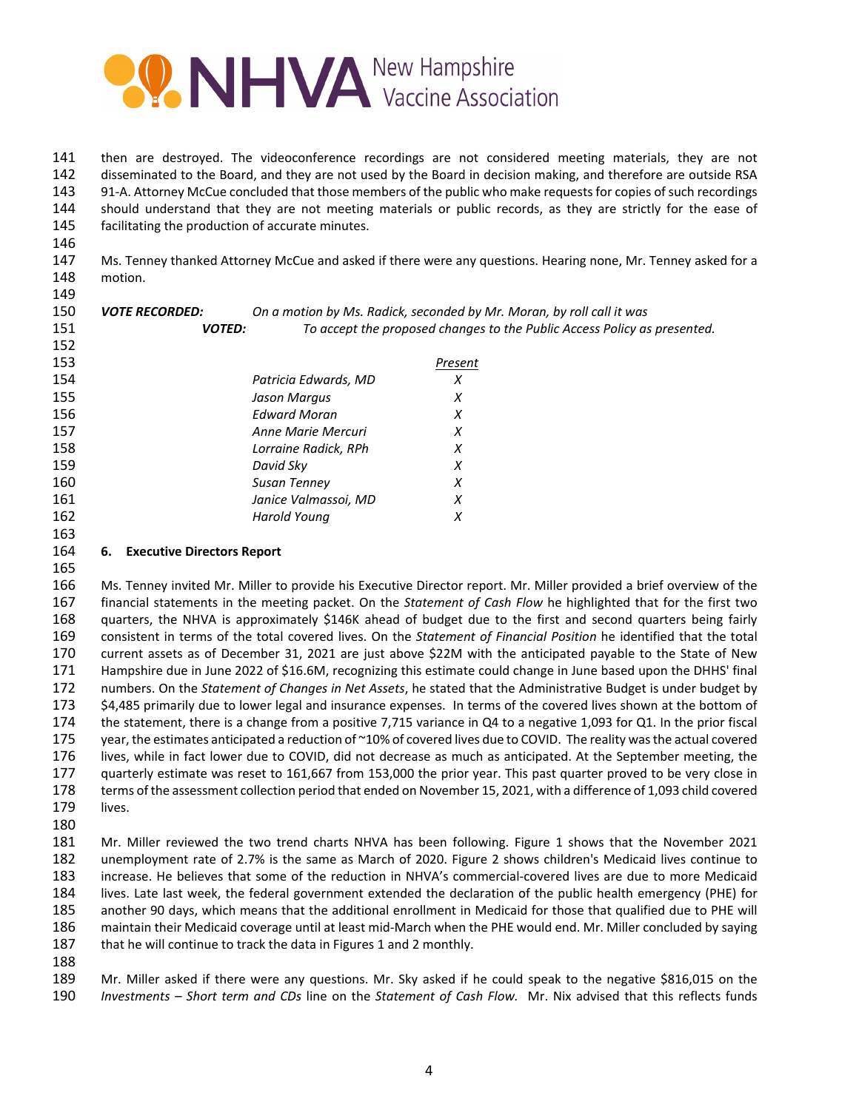

 then are destroyed. The videoconference recordings are not considered meeting materials, they are not disseminated to the Board, and they are not used by the Board in decision making, and therefore are outside RSA 143 91-A. Attorney McCue concluded that those members of the public who make requests for copies of such recordings should understand that they are not meeting materials or public records, as they are strictly for the ease of facilitating the production of accurate minutes.

 Ms. Tenney thanked Attorney McCue and asked if there were any questions. Hearing none, Mr. Tenney asked for a motion.

| 150 | <b>VOTE RECORDED:</b> | On a motion by Ms. Radick, seconded by Mr. Moran, by roll call it was    |         |  |
|-----|-----------------------|--------------------------------------------------------------------------|---------|--|
| 151 | <b>VOTED:</b>         | To accept the proposed changes to the Public Access Policy as presented. |         |  |
| 152 |                       |                                                                          |         |  |
| 153 |                       |                                                                          | Present |  |
| 154 |                       | Patricia Edwards, MD                                                     | Х       |  |
| 155 |                       | Jason Margus                                                             | X       |  |
| 156 |                       | <b>Edward Moran</b>                                                      | X       |  |
| 157 |                       | Anne Marie Mercuri                                                       | X       |  |
| 158 |                       | Lorraine Radick, RPh                                                     | X       |  |
| 159 |                       | David Sky                                                                | X       |  |
| 160 |                       | Susan Tenney                                                             | X       |  |
| 161 |                       | Janice Valmassoi, MD                                                     | X       |  |
| 162 |                       | Harold Young                                                             | X       |  |
| 163 |                       |                                                                          |         |  |

### **6. Executive Directors Report**

 Ms. Tenney invited Mr. Miller to provide his Executive Director report. Mr. Miller provided a brief overview of the financial statements in the meeting packet. On the *Statement of Cash Flow* he highlighted that for the first two quarters, the NHVA is approximately \$146K ahead of budget due to the first and second quarters being fairly consistent in terms of the total covered lives. On the *Statement of Financial Position* he identified that the total current assets as of December 31, 2021 are just above \$22M with the anticipated payable to the State of New Hampshire due in June 2022 of \$16.6M, recognizing this estimate could change in June based upon the DHHS' final numbers. On the *Statement of Changes in Net Assets*, he stated that the Administrative Budget is under budget by \$4,485 primarily due to lower legal and insurance expenses. In terms of the covered lives shown at the bottom of the statement, there is a change from a positive 7,715 variance in Q4 to a negative 1,093 for Q1. In the prior fiscal 175 year, the estimates anticipated a reduction of ~10% of covered lives due to COVID. The reality was the actual covered lives, while in fact lower due to COVID, did not decrease as much as anticipated. At the September meeting, the quarterly estimate was reset to 161,667 from 153,000 the prior year. This past quarter proved to be very close in terms of the assessment collection period that ended on November 15, 2021, with a difference of 1,093 child covered lives.

 Mr. Miller reviewed the two trend charts NHVA has been following. Figure 1 shows that the November 2021 unemployment rate of 2.7% is the same as March of 2020. Figure 2 shows children's Medicaid lives continue to increase. He believes that some of the reduction in NHVA's commercial‐covered lives are due to more Medicaid lives. Late last week, the federal government extended the declaration of the public health emergency (PHE) for another 90 days, which means that the additional enrollment in Medicaid for those that qualified due to PHE will maintain their Medicaid coverage until at least mid‐March when the PHE would end. Mr. Miller concluded by saying 187 that he will continue to track the data in Figures 1 and 2 monthly.

 Mr. Miller asked if there were any questions. Mr. Sky asked if he could speak to the negative \$816,015 on the *Investments – Short term and CDs* line on the *Statement of Cash Flow.* Mr. Nix advised that this reflects funds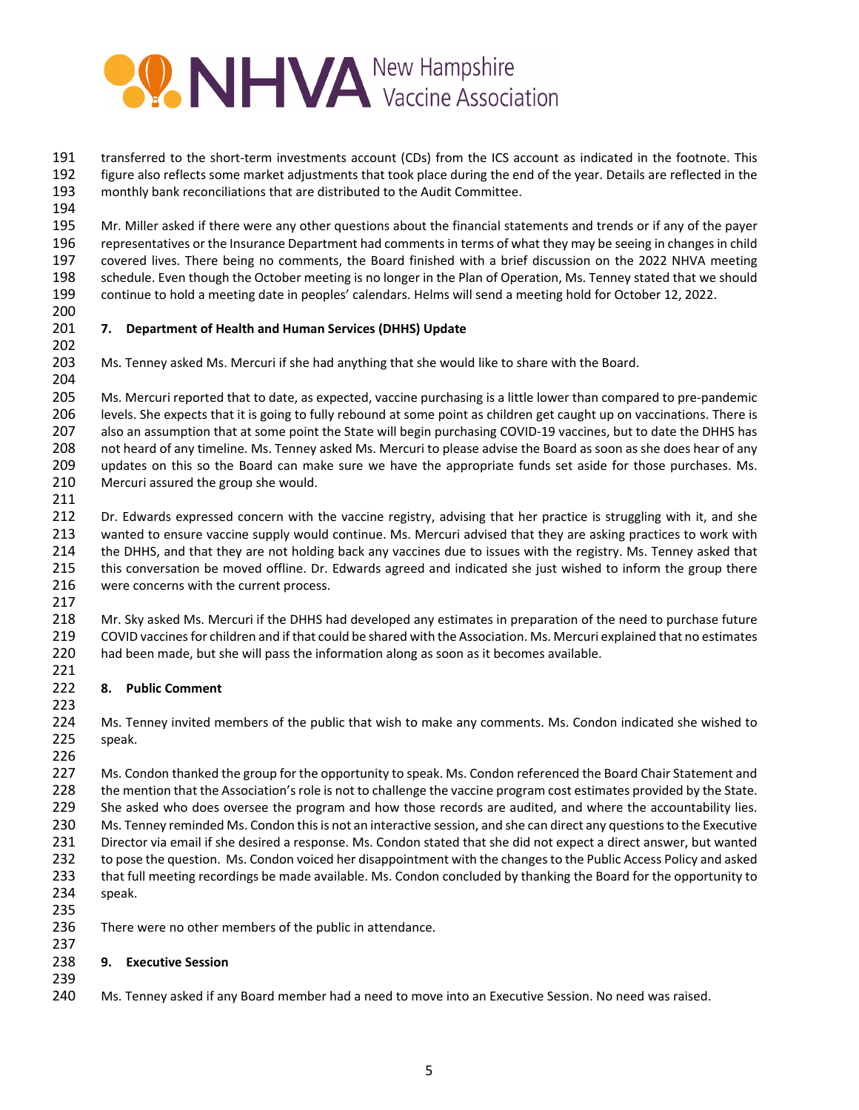

191 transferred to the short-term investments account (CDs) from the ICS account as indicated in the footnote. This figure also reflects some market adjustments that took place during the end of the year. Details are reflected in the monthly bank reconciliations that are distributed to the Audit Committee.

 Mr. Miller asked if there were any other questions about the financial statements and trends or if any of the payer representatives or the Insurance Department had comments in terms of what they may be seeing in changesin child covered lives. There being no comments, the Board finished with a brief discussion on the 2022 NHVA meeting schedule. Even though the October meeting is no longer in the Plan of Operation, Ms. Tenney stated that we should continue to hold a meeting date in peoples' calendars. Helms will send a meeting hold for October 12, 2022.

# **7. Department of Health and Human Services (DHHS) Update**

Ms. Tenney asked Ms. Mercuri if she had anything that she would like to share with the Board.

205 Ms. Mercuri reported that to date, as expected, vaccine purchasing is a little lower than compared to pre-pandemic levels. She expects that it is going to fully rebound at some point as children get caught up on vaccinations. There is 207 also an assumption that at some point the State will begin purchasing COVID-19 vaccines, but to date the DHHS has not heard of any timeline. Ms. Tenney asked Ms. Mercuri to please advise the Board as soon as she does hear of any updates on this so the Board can make sure we have the appropriate funds set aside for those purchases. Ms. Mercuri assured the group she would.

212 Dr. Edwards expressed concern with the vaccine registry, advising that her practice is struggling with it, and she wanted to ensure vaccine supply would continue. Ms. Mercuri advised that they are asking practices to work with the DHHS, and that they are not holding back any vaccines due to issues with the registry. Ms. Tenney asked that this conversation be moved offline. Dr. Edwards agreed and indicated she just wished to inform the group there were concerns with the current process.

218 Mr. Sky asked Ms. Mercuri if the DHHS had developed any estimates in preparation of the need to purchase future COVID vaccinesfor children and if that could be shared with the Association. Ms. Mercuri explained that no estimates had been made, but she will pass the information along as soon as it becomes available.

## **8. Public Comment**

 Ms. Tenney invited members of the public that wish to make any comments. Ms. Condon indicated she wished to speak.

227 Ms. Condon thanked the group for the opportunity to speak. Ms. Condon referenced the Board Chair Statement and the mention that the Association's role is not to challenge the vaccine program cost estimates provided by the State. 229 She asked who does oversee the program and how those records are audited, and where the accountability lies. 230 Ms. Tenney reminded Ms. Condon this is not an interactive session, and she can direct any questions to the Executive Director via email if she desired a response. Ms. Condon stated that she did not expect a direct answer, but wanted to pose the question. Ms. Condon voiced her disappointment with the changesto the Public Access Policy and asked that full meeting recordings be made available. Ms. Condon concluded by thanking the Board for the opportunity to speak.

There were no other members of the public in attendance.

## **9. Executive Session**

Ms. Tenney asked if any Board member had a need to move into an Executive Session. No need was raised.